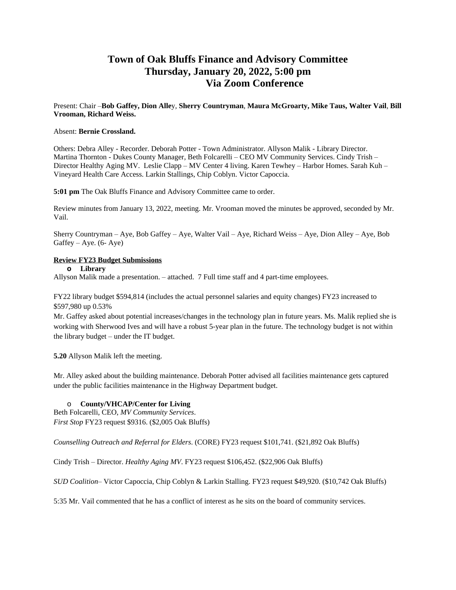# **Town of Oak Bluffs Finance and Advisory Committee Thursday, January 20, 2022, 5:00 pm Via Zoom Conference**

Present: Chair –**Bob Gaffey, Dion Alle**y, **Sherry Countryman**, **Maura McGroarty, Mike Taus, Walter Vail**, **Bill Vrooman, Richard Weiss.** 

### Absent: **Bernie Crossland.**

Others: Debra Alley - Recorder. Deborah Potter - Town Administrator. Allyson Malik - Library Director. Martina Thornton - Dukes County Manager, Beth Folcarelli – CEO MV Community Services. Cindy Trish – Director Healthy Aging MV. Leslie Clapp – MV Center 4 living. Karen Tewhey – Harbor Homes. Sarah Kuh – Vineyard Health Care Access. Larkin Stallings, Chip Coblyn. Victor Capoccia.

**5:01 pm** The Oak Bluffs Finance and Advisory Committee came to order.

Review minutes from January 13, 2022, meeting. Mr. Vrooman moved the minutes be approved, seconded by Mr. Vail.

Sherry Countryman – Aye, Bob Gaffey – Aye, Walter Vail – Aye, Richard Weiss – Aye, Dion Alley – Aye, Bob Gaffey – Aye.  $(6 - Aye)$ 

# **Review FY23 Budget Submissions**

**o Library** 

Allyson Malik made a presentation. – attached. 7 Full time staff and 4 part-time employees.

FY22 library budget \$594,814 (includes the actual personnel salaries and equity changes) FY23 increased to \$597,980 up 0.53%

Mr. Gaffey asked about potential increases/changes in the technology plan in future years. Ms. Malik replied she is working with Sherwood Ives and will have a robust 5-year plan in the future. The technology budget is not within the library budget – under the IT budget.

**5.20** Allyson Malik left the meeting.

Mr. Alley asked about the building maintenance. Deborah Potter advised all facilities maintenance gets captured under the public facilities maintenance in the Highway Department budget.

#### o **County/VHCAP/Center for Living**

Beth Folcarelli, CEO, *MV Community Services*. *First Stop* FY23 request \$9316. (\$2,005 Oak Bluffs)

*Counselling Outreach and Referral for Elders*. (CORE) FY23 request \$101,741. (\$21,892 Oak Bluffs)

Cindy Trish – Director. *Healthy Aging MV*. FY23 request \$106,452. (\$22,906 Oak Bluffs)

*SUD Coalition*– Victor Capoccia, Chip Coblyn & Larkin Stalling. FY23 request \$49,920. (\$10,742 Oak Bluffs)

5:35 Mr. Vail commented that he has a conflict of interest as he sits on the board of community services.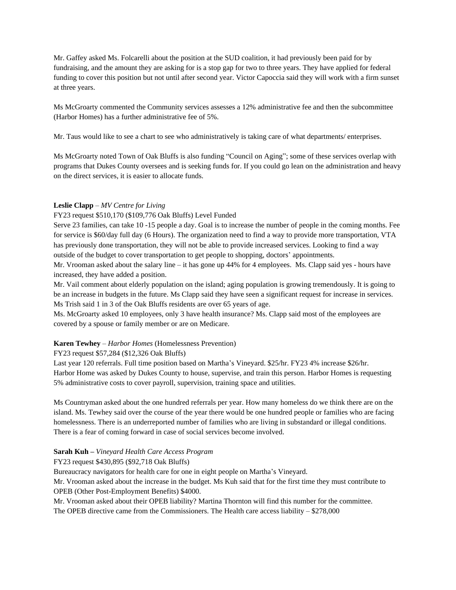Mr. Gaffey asked Ms. Folcarelli about the position at the SUD coalition, it had previously been paid for by fundraising, and the amount they are asking for is a stop gap for two to three years. They have applied for federal funding to cover this position but not until after second year. Victor Capoccia said they will work with a firm sunset at three years.

Ms McGroarty commented the Community services assesses a 12% administrative fee and then the subcommittee (Harbor Homes) has a further administrative fee of 5%.

Mr. Taus would like to see a chart to see who administratively is taking care of what departments/ enterprises.

Ms McGroarty noted Town of Oak Bluffs is also funding "Council on Aging"; some of these services overlap with programs that Dukes County oversees and is seeking funds for. If you could go lean on the administration and heavy on the direct services, it is easier to allocate funds.

## **Leslie Clapp** – *MV Centre for Living*

#### FY23 request \$510,170 (\$109,776 Oak Bluffs) Level Funded

Serve 23 families, can take 10 -15 people a day. Goal is to increase the number of people in the coming months. Fee for service is \$60/day full day (6 Hours). The organization need to find a way to provide more transportation, VTA has previously done transportation, they will not be able to provide increased services. Looking to find a way outside of the budget to cover transportation to get people to shopping, doctors' appointments.

Mr. Vrooman asked about the salary line – it has gone up 44% for 4 employees. Ms. Clapp said yes - hours have increased, they have added a position.

Mr. Vail comment about elderly population on the island; aging population is growing tremendously. It is going to be an increase in budgets in the future. Ms Clapp said they have seen a significant request for increase in services. Ms Trish said 1 in 3 of the Oak Bluffs residents are over 65 years of age.

Ms. McGroarty asked 10 employees, only 3 have health insurance? Ms. Clapp said most of the employees are covered by a spouse or family member or are on Medicare.

#### **Karen Tewhey** *– Harbor Homes* (Homelessness Prevention)

FY23 request \$57,284 (\$12,326 Oak Bluffs)

Last year 120 referrals. Full time position based on Martha's Vineyard. \$25/hr. FY23 4% increase \$26/hr. Harbor Home was asked by Dukes County to house, supervise, and train this person. Harbor Homes is requesting 5% administrative costs to cover payroll, supervision, training space and utilities.

Ms Countryman asked about the one hundred referrals per year. How many homeless do we think there are on the island. Ms. Tewhey said over the course of the year there would be one hundred people or families who are facing homelessness. There is an underreported number of families who are living in substandard or illegal conditions. There is a fear of coming forward in case of social services become involved.

#### **Sarah Kuh –** *Vineyard Health Care Access Program*

FY23 request \$430,895 (\$92,718 Oak Bluffs)

Bureaucracy navigators for health care for one in eight people on Martha's Vineyard.

Mr. Vrooman asked about the increase in the budget. Ms Kuh said that for the first time they must contribute to OPEB (Other Post-Employment Benefits) \$4000.

Mr. Vrooman asked about their OPEB liability? Martina Thornton will find this number for the committee.

The OPEB directive came from the Commissioners. The Health care access liability  $-$  \$278,000